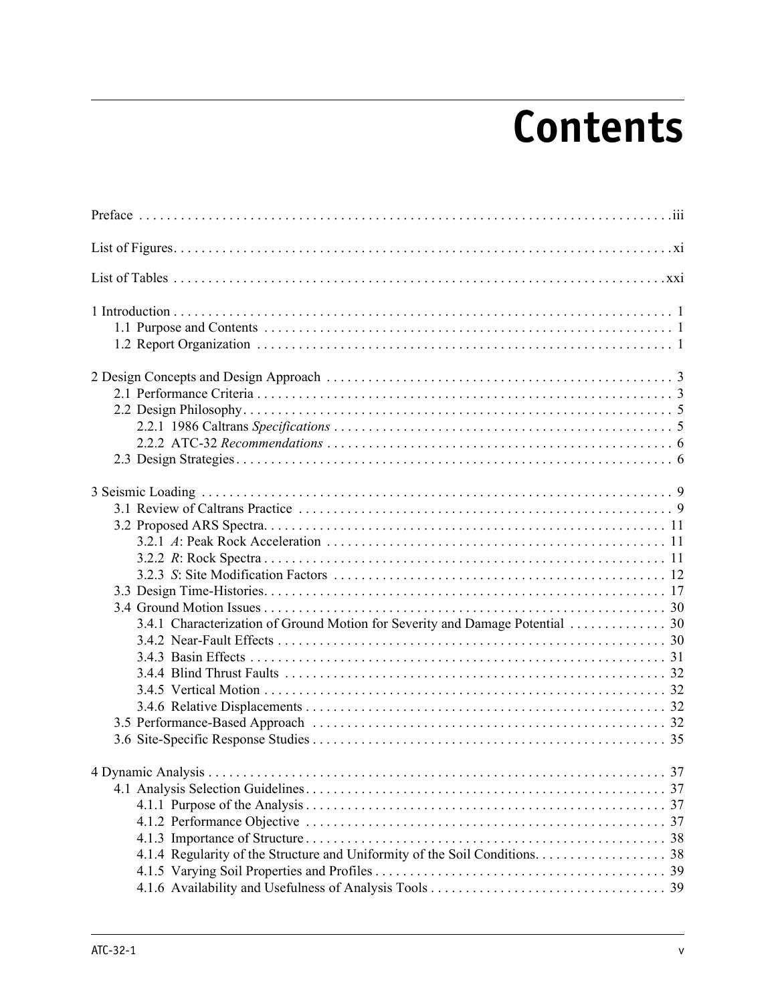## **Contents**

| 3.4.1 Characterization of Ground Motion for Severity and Damage Potential  30 |
|-------------------------------------------------------------------------------|
|                                                                               |
|                                                                               |
|                                                                               |
|                                                                               |
|                                                                               |
|                                                                               |
|                                                                               |
| 4 Dynamic Analysis<br>37                                                      |
|                                                                               |
|                                                                               |
|                                                                               |
|                                                                               |
|                                                                               |
|                                                                               |
|                                                                               |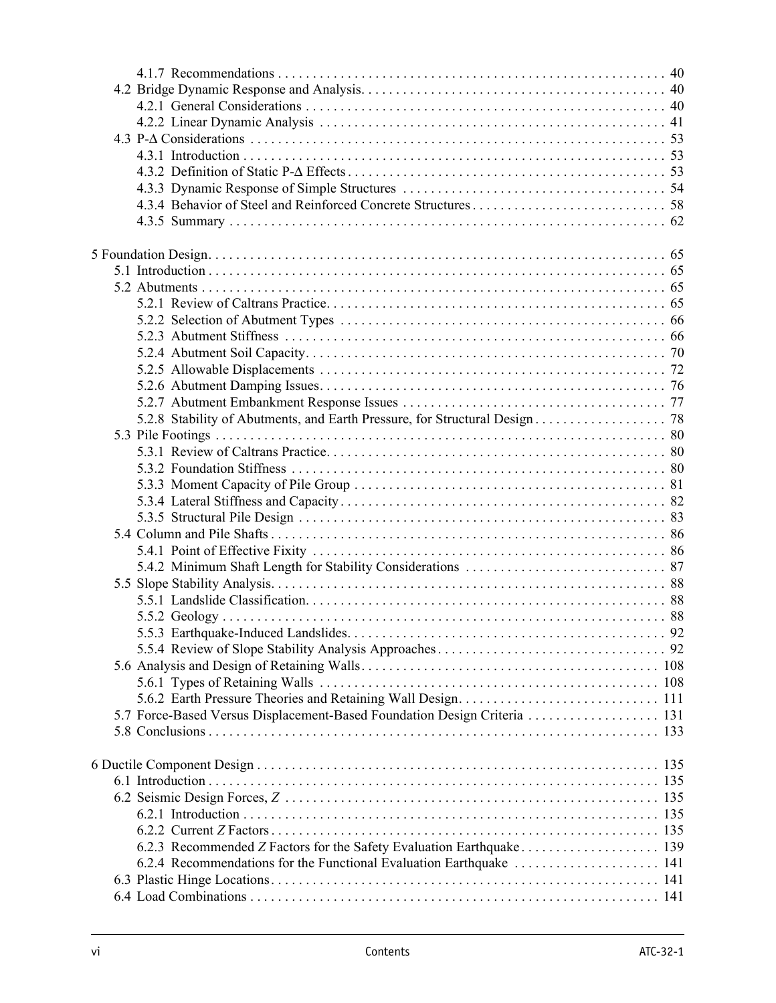| 5.7 Force-Based Versus Displacement-Based Foundation Design Criteria 131 |  |
|--------------------------------------------------------------------------|--|
|                                                                          |  |
|                                                                          |  |
|                                                                          |  |
|                                                                          |  |
|                                                                          |  |
|                                                                          |  |
|                                                                          |  |
|                                                                          |  |
|                                                                          |  |
| 6.2.4 Recommendations for the Functional Evaluation Earthquake  141      |  |
|                                                                          |  |
|                                                                          |  |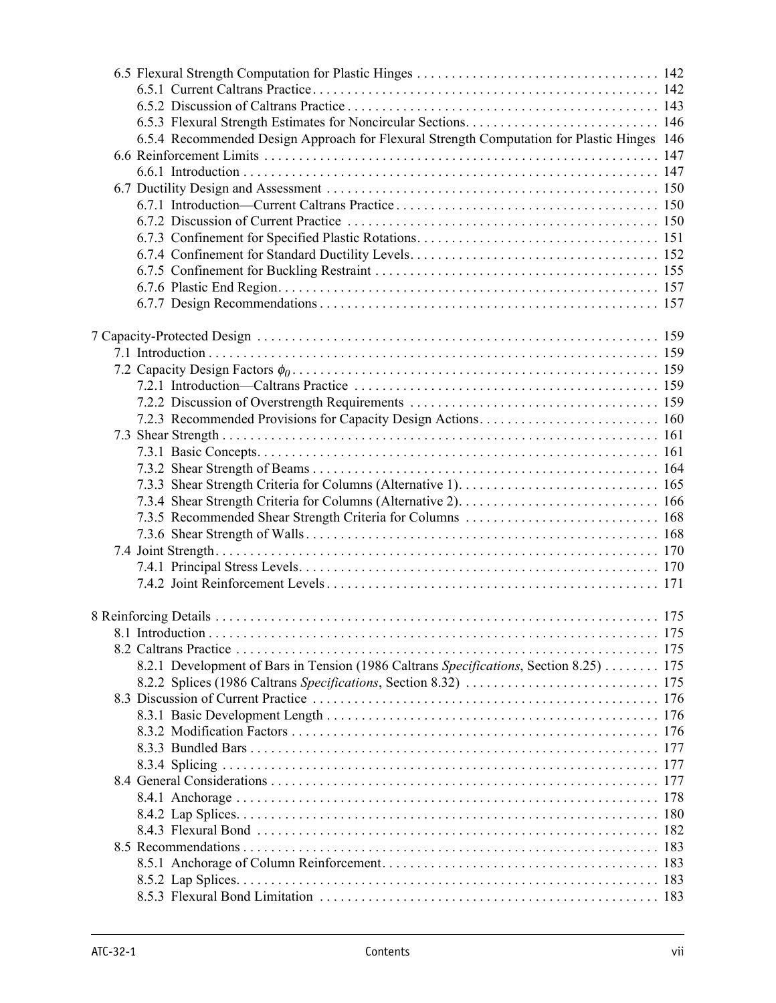| 6.5.4 Recommended Design Approach for Flexural Strength Computation for Plastic Hinges 146 |  |
|--------------------------------------------------------------------------------------------|--|
|                                                                                            |  |
|                                                                                            |  |
|                                                                                            |  |
|                                                                                            |  |
|                                                                                            |  |
|                                                                                            |  |
|                                                                                            |  |
|                                                                                            |  |
|                                                                                            |  |
|                                                                                            |  |
|                                                                                            |  |
|                                                                                            |  |
|                                                                                            |  |
|                                                                                            |  |
|                                                                                            |  |
|                                                                                            |  |
|                                                                                            |  |
|                                                                                            |  |
|                                                                                            |  |
|                                                                                            |  |
|                                                                                            |  |
|                                                                                            |  |
|                                                                                            |  |
|                                                                                            |  |
|                                                                                            |  |
|                                                                                            |  |
|                                                                                            |  |
|                                                                                            |  |
|                                                                                            |  |
|                                                                                            |  |
|                                                                                            |  |
|                                                                                            |  |
| 8.2.1 Development of Bars in Tension (1986 Caltrans Specifications, Section 8.25) 175      |  |
|                                                                                            |  |
|                                                                                            |  |
|                                                                                            |  |
|                                                                                            |  |
|                                                                                            |  |
|                                                                                            |  |
|                                                                                            |  |
|                                                                                            |  |
|                                                                                            |  |
|                                                                                            |  |
|                                                                                            |  |
|                                                                                            |  |
|                                                                                            |  |
|                                                                                            |  |
|                                                                                            |  |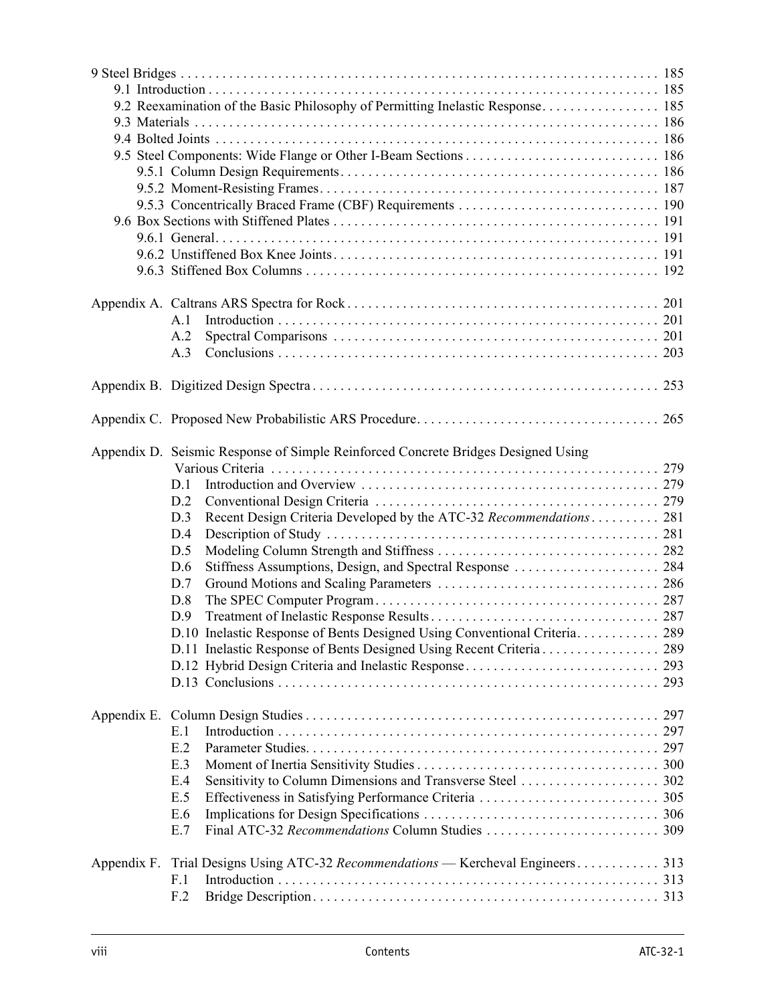|             |     | 9.2 Reexamination of the Basic Philosophy of Permitting Inelastic Response 185    |     |  |  |  |  |  |
|-------------|-----|-----------------------------------------------------------------------------------|-----|--|--|--|--|--|
|             |     |                                                                                   |     |  |  |  |  |  |
|             |     |                                                                                   |     |  |  |  |  |  |
|             |     |                                                                                   |     |  |  |  |  |  |
|             |     |                                                                                   |     |  |  |  |  |  |
|             |     |                                                                                   |     |  |  |  |  |  |
|             |     |                                                                                   |     |  |  |  |  |  |
|             |     |                                                                                   |     |  |  |  |  |  |
|             |     |                                                                                   |     |  |  |  |  |  |
|             |     |                                                                                   |     |  |  |  |  |  |
|             |     |                                                                                   |     |  |  |  |  |  |
|             |     |                                                                                   |     |  |  |  |  |  |
|             | A.1 |                                                                                   |     |  |  |  |  |  |
|             | A.2 |                                                                                   |     |  |  |  |  |  |
|             |     |                                                                                   |     |  |  |  |  |  |
|             | A.3 |                                                                                   |     |  |  |  |  |  |
|             |     |                                                                                   |     |  |  |  |  |  |
|             |     |                                                                                   | 265 |  |  |  |  |  |
|             |     |                                                                                   |     |  |  |  |  |  |
|             |     | Appendix D. Seismic Response of Simple Reinforced Concrete Bridges Designed Using |     |  |  |  |  |  |
|             |     |                                                                                   |     |  |  |  |  |  |
|             | D.1 |                                                                                   |     |  |  |  |  |  |
|             | D.2 |                                                                                   |     |  |  |  |  |  |
|             | D.3 | Recent Design Criteria Developed by the ATC-32 Recommendations 281                |     |  |  |  |  |  |
|             | D.4 |                                                                                   |     |  |  |  |  |  |
|             | D.5 |                                                                                   |     |  |  |  |  |  |
|             | D.6 |                                                                                   |     |  |  |  |  |  |
|             | D.7 |                                                                                   |     |  |  |  |  |  |
|             | D.8 |                                                                                   |     |  |  |  |  |  |
|             | D.9 |                                                                                   |     |  |  |  |  |  |
|             |     | D.10 Inelastic Response of Bents Designed Using Conventional Criteria 289         |     |  |  |  |  |  |
|             |     |                                                                                   |     |  |  |  |  |  |
|             |     |                                                                                   |     |  |  |  |  |  |
|             |     |                                                                                   | 293 |  |  |  |  |  |
|             |     |                                                                                   |     |  |  |  |  |  |
|             |     |                                                                                   |     |  |  |  |  |  |
|             | E.1 |                                                                                   |     |  |  |  |  |  |
|             | E.2 |                                                                                   |     |  |  |  |  |  |
|             | E.3 |                                                                                   |     |  |  |  |  |  |
|             | E.4 |                                                                                   |     |  |  |  |  |  |
|             | E.5 |                                                                                   |     |  |  |  |  |  |
|             | E.6 |                                                                                   |     |  |  |  |  |  |
|             | E.7 |                                                                                   |     |  |  |  |  |  |
|             |     |                                                                                   |     |  |  |  |  |  |
| Appendix F. |     | Trial Designs Using ATC-32 Recommendations — Kercheval Engineers 313              |     |  |  |  |  |  |
|             | F.1 |                                                                                   |     |  |  |  |  |  |
|             | F.2 |                                                                                   |     |  |  |  |  |  |